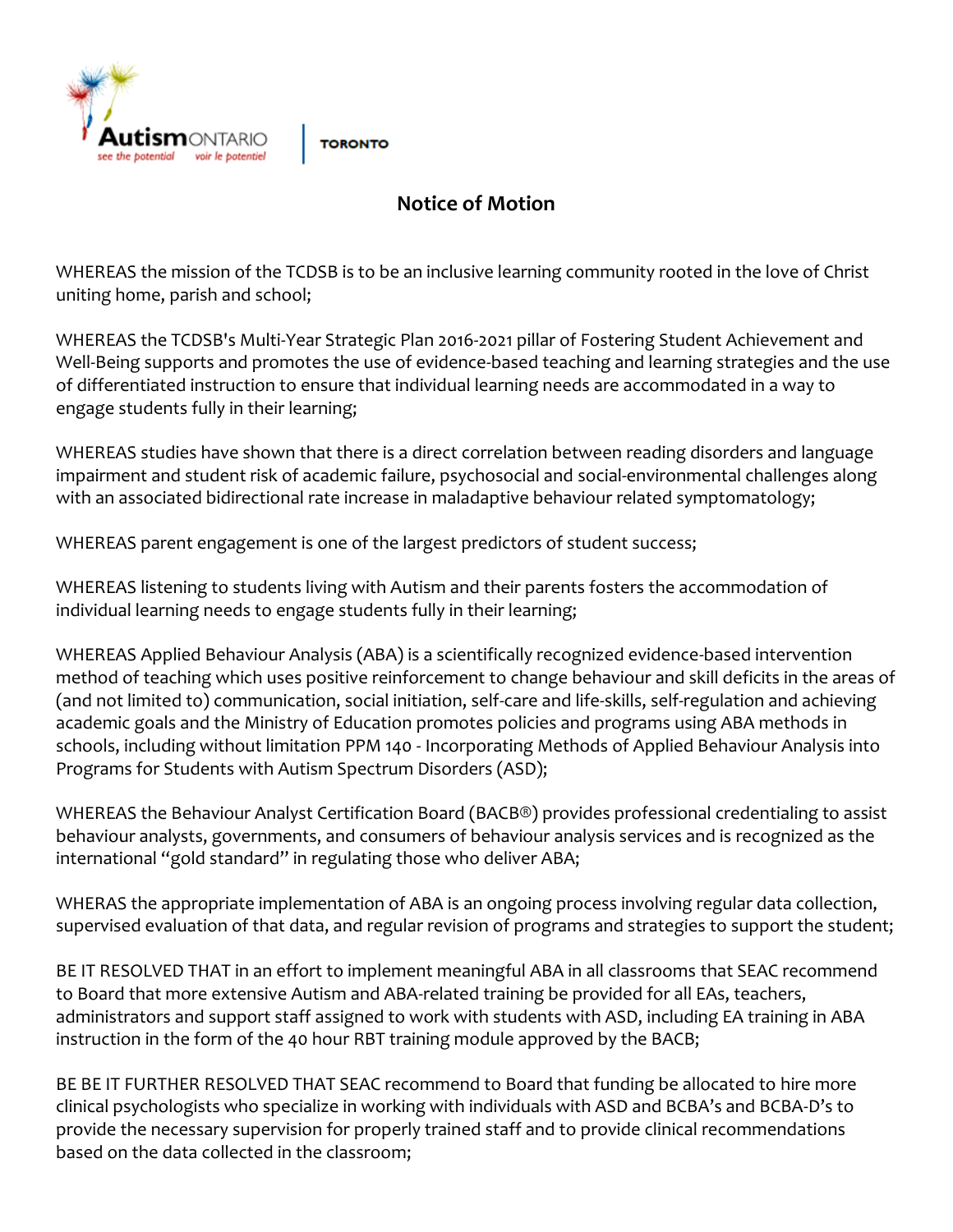

**TORONTO** 

## **Notice of Motion**

WHEREAS the mission of the TCDSB is to be an inclusive learning community rooted in the love of Christ uniting home, parish and school;

WHEREAS the TCDSB's Multi-Year Strategic Plan 2016-2021 pillar of Fostering Student Achievement and Well-Being supports and promotes the use of evidence-based teaching and learning strategies and the use of differentiated instruction to ensure that individual learning needs are accommodated in a way to engage students fully in their learning;

WHEREAS studies have shown that there is a direct correlation between reading disorders and language impairment and student risk of academic failure, psychosocial and social-environmental challenges along with an associated bidirectional rate increase in maladaptive behaviour related symptomatology;

WHEREAS parent engagement is one of the largest predictors of student success;

WHEREAS listening to students living with Autism and their parents fosters the accommodation of individual learning needs to engage students fully in their learning;

WHEREAS Applied Behaviour Analysis (ABA) is a scientifically recognized evidence-based intervention method of teaching which uses positive reinforcement to change behaviour and skill deficits in the areas of (and not limited to) communication, social initiation, self-care and life-skills, self-regulation and achieving academic goals and the Ministry of Education promotes policies and programs using ABA methods in schools, including without limitation PPM 140 - Incorporating Methods of Applied Behaviour Analysis into Programs for Students with Autism Spectrum Disorders (ASD);

WHEREAS the Behaviour Analyst Certification Board (BACB®) provides professional credentialing to assist behaviour analysts, governments, and consumers of behaviour analysis services and is recognized as the international "gold standard" in regulating those who deliver ABA;

WHERAS the appropriate implementation of ABA is an ongoing process involving regular data collection, supervised evaluation of that data, and regular revision of programs and strategies to support the student;

BE IT RESOLVED THAT in an effort to implement meaningful ABA in all classrooms that SEAC recommend to Board that more extensive Autism and ABA-related training be provided for all EAs, teachers, administrators and support staff assigned to work with students with ASD, including EA training in ABA instruction in the form of the 40 hour RBT training module approved by the BACB;

BE BE IT FURTHER RESOLVED THAT SEAC recommend to Board that funding be allocated to hire more clinical psychologists who specialize in working with individuals with ASD and BCBA's and BCBA-D's to provide the necessary supervision for properly trained staff and to provide clinical recommendations based on the data collected in the classroom;